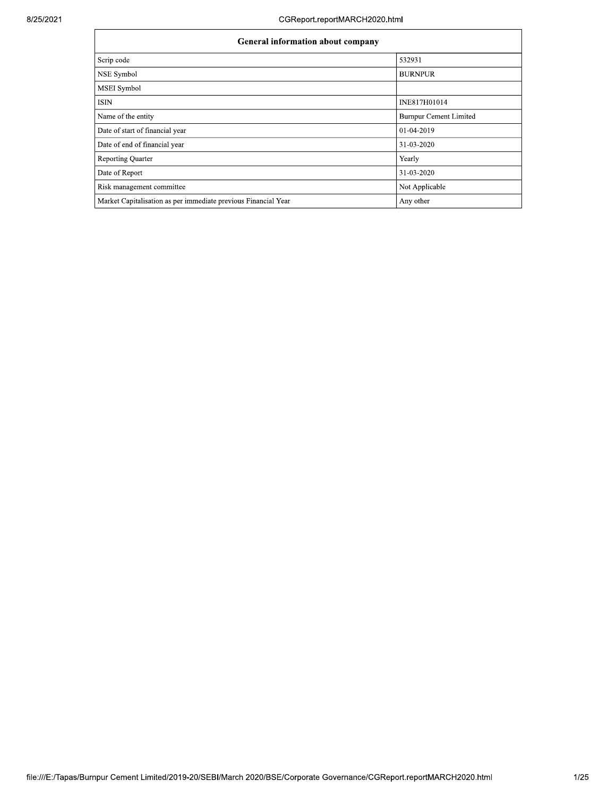| <b>General information about company</b>                       |                               |  |  |  |  |  |  |  |
|----------------------------------------------------------------|-------------------------------|--|--|--|--|--|--|--|
| Scrip code                                                     | 532931                        |  |  |  |  |  |  |  |
| NSE Symbol                                                     | <b>BURNPUR</b>                |  |  |  |  |  |  |  |
| MSEI Symbol                                                    |                               |  |  |  |  |  |  |  |
| ISIN                                                           | INE817H01014                  |  |  |  |  |  |  |  |
| Name of the entity                                             | <b>Burnpur Cement Limited</b> |  |  |  |  |  |  |  |
| Date of start of financial year                                | 01-04-2019                    |  |  |  |  |  |  |  |
| Date of end of financial year                                  | 31-03-2020                    |  |  |  |  |  |  |  |
| <b>Reporting Quarter</b>                                       | Yearly                        |  |  |  |  |  |  |  |
| Date of Report                                                 | 31-03-2020                    |  |  |  |  |  |  |  |
| Risk management committee                                      | Not Applicable                |  |  |  |  |  |  |  |
| Market Capitalisation as per immediate previous Financial Year | Any other                     |  |  |  |  |  |  |  |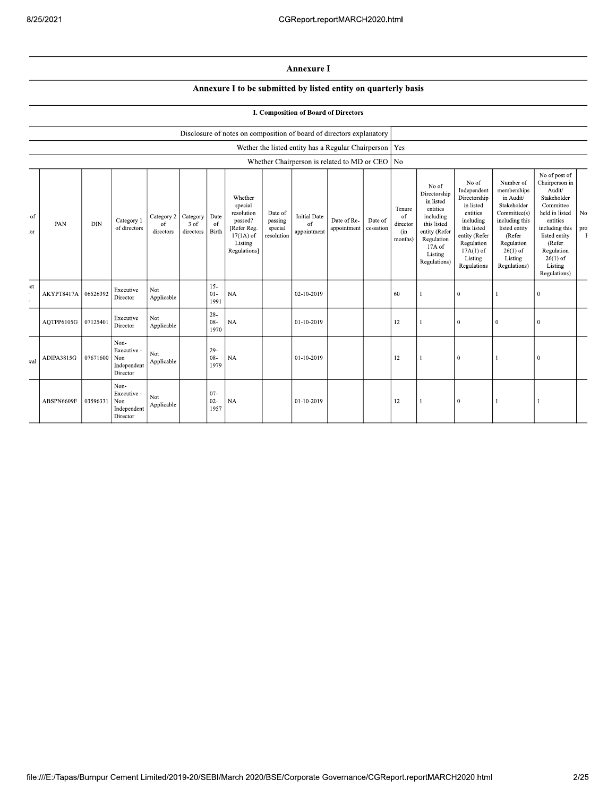## **Annexure I**

## Annexure I to be submitted by listed entity on quarterly basis

|  | I. Composition of Board of Directors |
|--|--------------------------------------|
|--|--------------------------------------|

|          |            |            |                                                       |                               |                                 |                          | Disclosure of notes on composition of board of directors explanatory                                 |                                             |                                                          |                            |                      |                                                       |                                                                                                                                                |                                                                                                                                                                   |                                                                                                                                                                          |                                                                                                                                                                                                         |           |
|----------|------------|------------|-------------------------------------------------------|-------------------------------|---------------------------------|--------------------------|------------------------------------------------------------------------------------------------------|---------------------------------------------|----------------------------------------------------------|----------------------------|----------------------|-------------------------------------------------------|------------------------------------------------------------------------------------------------------------------------------------------------|-------------------------------------------------------------------------------------------------------------------------------------------------------------------|--------------------------------------------------------------------------------------------------------------------------------------------------------------------------|---------------------------------------------------------------------------------------------------------------------------------------------------------------------------------------------------------|-----------|
|          |            |            |                                                       |                               |                                 |                          |                                                                                                      |                                             | Wether the listed entity has a Regular Chairperson   Yes |                            |                      |                                                       |                                                                                                                                                |                                                                                                                                                                   |                                                                                                                                                                          |                                                                                                                                                                                                         |           |
|          |            |            |                                                       |                               |                                 |                          |                                                                                                      |                                             | Whether Chairperson is related to MD or CEO   No         |                            |                      |                                                       |                                                                                                                                                |                                                                                                                                                                   |                                                                                                                                                                          |                                                                                                                                                                                                         |           |
| of<br>or | PAN        | <b>DIN</b> | Category 1<br>of directors                            | Category 2<br>of<br>directors | Category I<br>3 of<br>directors | Date<br>of<br>Birth      | Whether<br>special<br>resolution<br>passed?<br>[Refer Reg.<br>$17(1A)$ of<br>Listing<br>Regulations] | Date of<br>passing<br>special<br>resolution | <b>Initial Date</b><br>of<br>appointment                 | Date of Re-<br>appointment | Date of<br>cessation | Tenure<br><sub>of</sub><br>director<br>(in<br>months) | No of<br>Directorship<br>in listed<br>entities<br>including<br>this listed<br>entity (Refer<br>Regulation<br>17A of<br>Listing<br>Regulations) | No of<br>Independent<br>Directorship<br>in listed<br>entities<br>including<br>this listed<br>entity (Refer<br>Regulation<br>$17A(1)$ of<br>Listing<br>Regulations | Number of<br>memberships<br>in Audit/<br>Stakeholder<br>Committee(s)<br>including this<br>listed entity<br>(Refer<br>Regulation<br>$26(1)$ of<br>Listing<br>Regulations) | No of post of<br>Chairperson in<br>Audit/<br>Stakeholder<br>Committee<br>held in listed<br>entities<br>including this<br>listed entity<br>(Refer<br>Regulation<br>$26(1)$ of<br>Listing<br>Regulations) | No<br>pro |
| et       | AKYPT8417A | 06526392   | Executive<br>Director                                 | Not<br>Applicable             |                                 | $15 -$<br>$01 -$<br>1991 | $_{\rm NA}$                                                                                          |                                             | 02-10-2019                                               |                            |                      | 60                                                    |                                                                                                                                                | $\bf{0}$                                                                                                                                                          |                                                                                                                                                                          | $\Omega$                                                                                                                                                                                                |           |
|          | AOTPP6105G | 07125401   | Executive<br>Director                                 | Not<br>Applicable             |                                 | $28 -$<br>$08 -$<br>1970 | NA                                                                                                   |                                             | 01-10-2019                                               |                            |                      | 12                                                    |                                                                                                                                                | $\mathbf{0}$                                                                                                                                                      | $\bf{0}$                                                                                                                                                                 | $\Omega$                                                                                                                                                                                                |           |
| val      | ADIPA3815G | 07671600   | Non-<br>Executive -<br>Non<br>Independent<br>Director | Not<br>Applicable             |                                 | $29-$<br>$08 -$<br>1979  | NA                                                                                                   |                                             | 01-10-2019                                               |                            |                      | 12                                                    |                                                                                                                                                | $\mathbf{0}$                                                                                                                                                      |                                                                                                                                                                          | $\Omega$                                                                                                                                                                                                |           |
|          | ABSPN6609F | 03596331   | Non-<br>Executive -<br>Non<br>Independent<br>Director | Not<br>Applicable             |                                 | $07 -$<br>$02 -$<br>1957 | NA                                                                                                   |                                             | 01-10-2019                                               |                            |                      | 12                                                    | 1                                                                                                                                              | $\mathbf{0}$                                                                                                                                                      |                                                                                                                                                                          |                                                                                                                                                                                                         |           |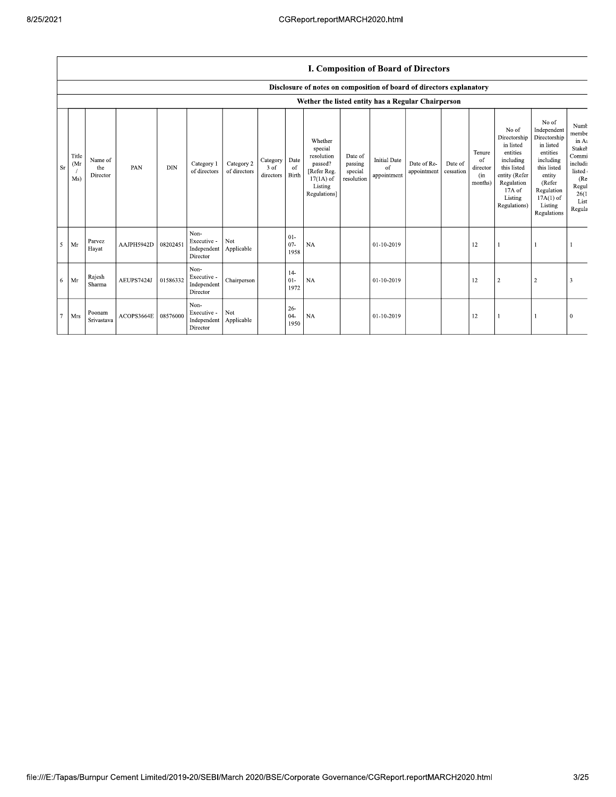## I. Composition of Board of Directors

|        |                     |                            | Disclosure of notes on composition of board of directors explanatory |            |                                                |                            |                               |                                |                                                                                                      |                                             |                                          |                            |                      |                                            |                                                                                                                                                |                                                                                                                                                                      |                                                                                                               |
|--------|---------------------|----------------------------|----------------------------------------------------------------------|------------|------------------------------------------------|----------------------------|-------------------------------|--------------------------------|------------------------------------------------------------------------------------------------------|---------------------------------------------|------------------------------------------|----------------------------|----------------------|--------------------------------------------|------------------------------------------------------------------------------------------------------------------------------------------------|----------------------------------------------------------------------------------------------------------------------------------------------------------------------|---------------------------------------------------------------------------------------------------------------|
|        |                     |                            |                                                                      |            |                                                |                            |                               |                                | Wether the listed entity has a Regular Chairperson                                                   |                                             |                                          |                            |                      |                                            |                                                                                                                                                |                                                                                                                                                                      |                                                                                                               |
| Sr     | Title<br>(Mr<br>Ms) | Name of<br>the<br>Director | PAN                                                                  | <b>DIN</b> | Category 1<br>of directors                     | Category 2<br>of directors | Category<br>3 of<br>directors | Date<br><sub>of</sub><br>Birth | Whether<br>special<br>resolution<br>passed?<br>[Refer Reg.<br>$17(1A)$ of<br>Listing<br>Regulations] | Date of<br>passing<br>special<br>resolution | <b>Initial Date</b><br>of<br>appointment | Date of Re-<br>appointment | Date of<br>cessation | Tenure<br>of<br>director<br>(in<br>months) | No of<br>Directorship<br>in listed<br>entities<br>including<br>this listed<br>entity (Refer<br>Regulation<br>17A of<br>Listing<br>Regulations) | No of<br>Independent<br>Directorship<br>in listed<br>entities<br>including<br>this listed<br>entity<br>(Refer<br>Regulation<br>$17A(1)$ of<br>Listing<br>Regulations | Numb<br>membe<br>in At<br>Stakeh<br>Commi<br>includii<br>listed o<br>(Re)<br>Regul<br>26(1)<br>List<br>Regula |
| 5      | Mr                  | Parvez<br>Hayat            | AAJPH5942D                                                           | 08202451   | Non-<br>Executive -<br>Independent<br>Director | Not<br>Applicable          |                               | $01 -$<br>$07 -$<br>1958       | <b>NA</b>                                                                                            |                                             | 01-10-2019                               |                            |                      | 12                                         |                                                                                                                                                |                                                                                                                                                                      |                                                                                                               |
| 6      | Mr                  | Rajesh<br>Sharma           | AEUPS7424J                                                           | 01586332   | Non-<br>Executive -<br>Independent<br>Director | Chairperson                |                               | $14-$<br>$01 -$<br>1972        | <b>NA</b>                                                                                            |                                             | 01-10-2019                               |                            |                      | 12                                         | $\overline{2}$                                                                                                                                 | 2                                                                                                                                                                    |                                                                                                               |
| $\tau$ | Mrs                 | Poonam<br>Srivastava       | ACOPS3664E                                                           | 08576000   | Non-<br>Executive -<br>Independent<br>Director | Not<br>Applicable          |                               | $26 -$<br>$04 -$<br>1950       | <b>NA</b>                                                                                            |                                             | 01-10-2019                               |                            |                      | 12                                         |                                                                                                                                                |                                                                                                                                                                      | $\theta$                                                                                                      |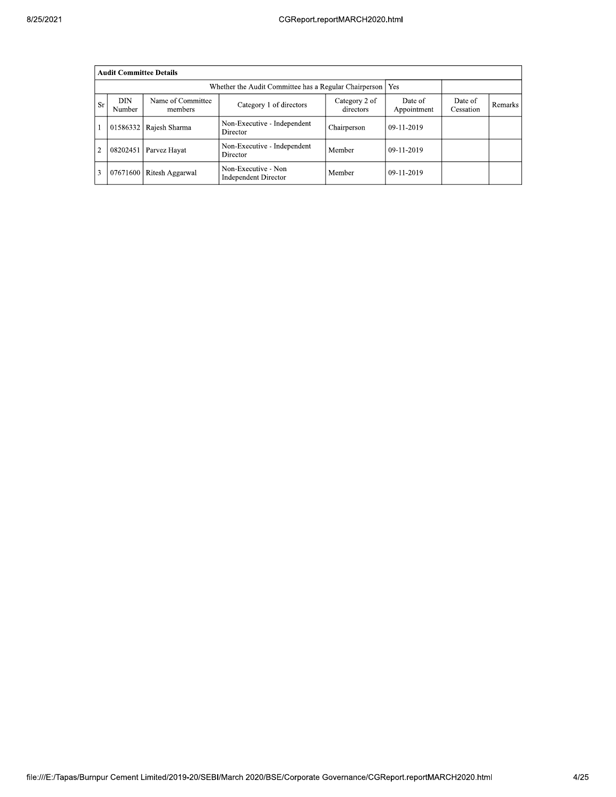|                | <b>Audit Committee Details</b>                                 |                              |                                                    |                            |                        |                      |         |  |  |  |  |  |  |
|----------------|----------------------------------------------------------------|------------------------------|----------------------------------------------------|----------------------------|------------------------|----------------------|---------|--|--|--|--|--|--|
|                | Whether the Audit Committee has a Regular Chairperson  <br>Yes |                              |                                                    |                            |                        |                      |         |  |  |  |  |  |  |
| <b>Sr</b>      | DIN<br>Number                                                  | Name of Committee<br>members | Category 1 of directors                            | Category 2 of<br>directors | Date of<br>Appointment | Date of<br>Cessation | Remarks |  |  |  |  |  |  |
|                | 01586332                                                       | Rajesh Sharma                | Non-Executive - Independent<br>Director            | Chairperson                | 09-11-2019             |                      |         |  |  |  |  |  |  |
| $\overline{2}$ | 08202451                                                       | Parvez Hayat                 | Non-Executive - Independent<br>Director            | Member                     | 09-11-2019             |                      |         |  |  |  |  |  |  |
| 3              |                                                                | 07671600 Ritesh Aggarwal     | Non-Executive - Non<br><b>Independent Director</b> | Member                     | 09-11-2019             |                      |         |  |  |  |  |  |  |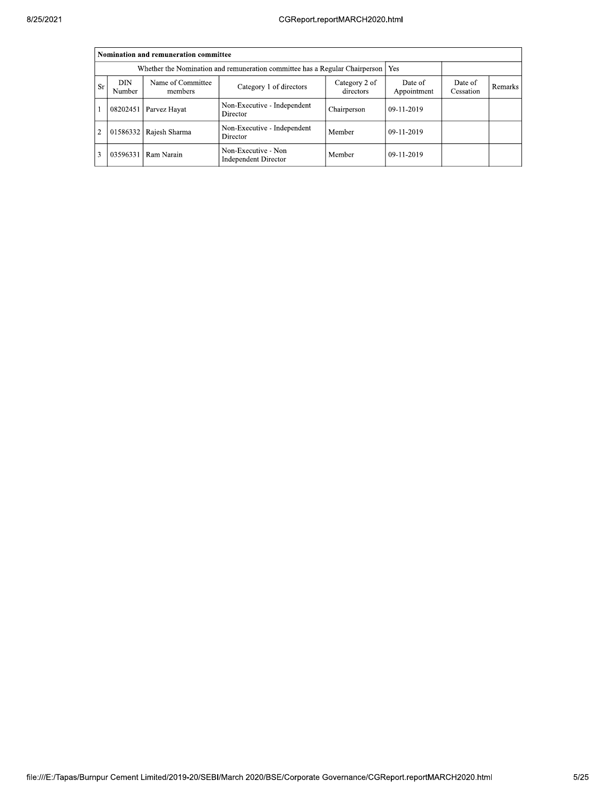|                | Nomination and remuneration committee                                                |                              |                                                    |                      |            |  |  |  |  |  |  |  |
|----------------|--------------------------------------------------------------------------------------|------------------------------|----------------------------------------------------|----------------------|------------|--|--|--|--|--|--|--|
|                | Whether the Nomination and remuneration committee has a Regular Chairperson  <br>Yes |                              |                                                    |                      |            |  |  |  |  |  |  |  |
| <b>Sr</b>      | DIN<br>Number                                                                        | Name of Committee<br>members | Date of<br>Appointment                             | Date of<br>Cessation | Remarks    |  |  |  |  |  |  |  |
|                | 08202451                                                                             | Parvez Hayat                 | Non-Executive - Independent<br>Director            | Chairperson          | 09-11-2019 |  |  |  |  |  |  |  |
| $\overline{2}$ | 01586332                                                                             | Rajesh Sharma                | Non-Executive - Independent<br>Director            | Member               | 09-11-2019 |  |  |  |  |  |  |  |
|                | 03596331                                                                             | Ram Narain                   | Non-Executive - Non<br><b>Independent Director</b> | Member               | 09-11-2019 |  |  |  |  |  |  |  |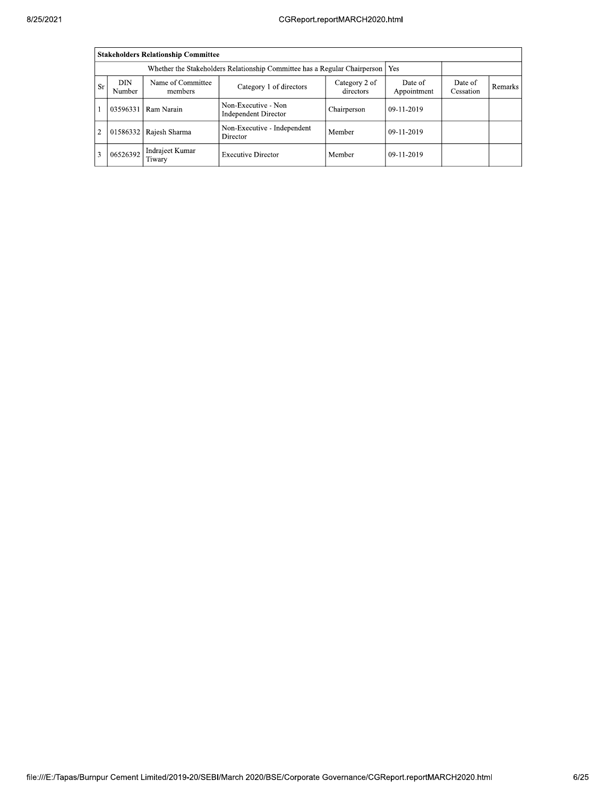|                |                                                                                                                                                                     | <b>Stakeholders Relationship Committee</b> |                                                    |             |              |  |  |  |  |  |  |  |
|----------------|---------------------------------------------------------------------------------------------------------------------------------------------------------------------|--------------------------------------------|----------------------------------------------------|-------------|--------------|--|--|--|--|--|--|--|
|                | Whether the Stakeholders Relationship Committee has a Regular Chairperson   Yes                                                                                     |                                            |                                                    |             |              |  |  |  |  |  |  |  |
| <b>Sr</b>      | Name of Committee<br>DIN<br>Date of<br>Date of<br>Category 2 of<br>Category 1 of directors<br>Remarks<br>directors<br>Appointment<br>Cessation<br>Number<br>members |                                            |                                                    |             |              |  |  |  |  |  |  |  |
|                | 03596331                                                                                                                                                            | Ram Narain                                 | Non-Executive - Non<br><b>Independent Director</b> | Chairperson | 09-11-2019   |  |  |  |  |  |  |  |
| $\overline{2}$ | 01586332                                                                                                                                                            | Rajesh Sharma                              | Non-Executive - Independent<br>Director            | Member      | $09-11-2019$ |  |  |  |  |  |  |  |
| 3              | 06526392                                                                                                                                                            | Indrajeet Kumar<br>Tiwary                  | <b>Executive Director</b>                          | Member      | $09-11-2019$ |  |  |  |  |  |  |  |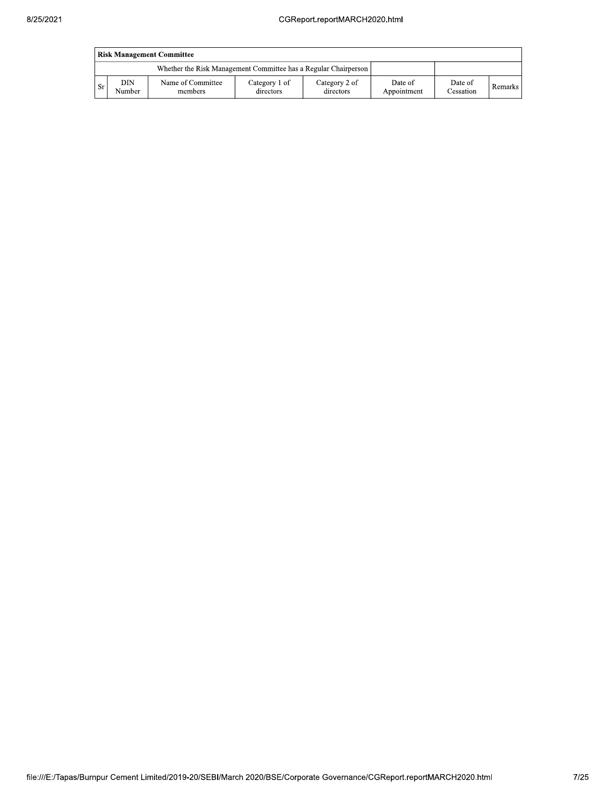|    | <b>Risk Management Committee</b> |                                                                 |                            |                            |                        |                      |                |  |  |  |  |
|----|----------------------------------|-----------------------------------------------------------------|----------------------------|----------------------------|------------------------|----------------------|----------------|--|--|--|--|
|    |                                  | Whether the Risk Management Committee has a Regular Chairperson |                            |                            |                        |                      |                |  |  |  |  |
| Sr | DIN<br>Number                    | Name of Committee<br>members                                    | Category 1 of<br>directors | Category 2 of<br>directors | Date of<br>Appointment | Date of<br>Cessation | <b>Remarks</b> |  |  |  |  |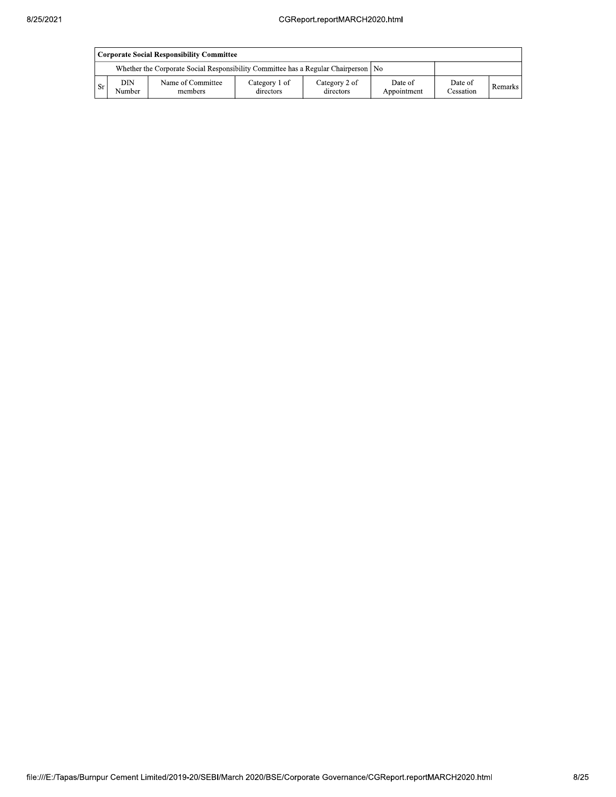|      | Corporate Social Responsibility Committee |                                                                                      |                            |                            |                        |                      |           |  |  |  |  |
|------|-------------------------------------------|--------------------------------------------------------------------------------------|----------------------------|----------------------------|------------------------|----------------------|-----------|--|--|--|--|
|      |                                           | Whether the Corporate Social Responsibility Committee has a Regular Chairperson   No |                            |                            |                        |                      |           |  |  |  |  |
| - Sr | DIN<br>Number                             | Name of Committee<br>members                                                         | Category 1 of<br>directors | Category 2 of<br>directors | Date of<br>Appointment | Date of<br>Cessation | Remarks I |  |  |  |  |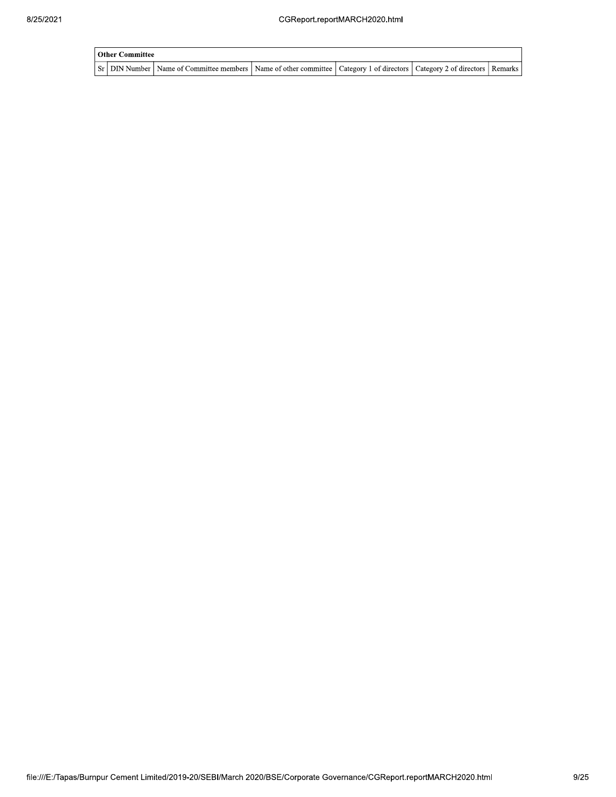| <b>Other Committee</b> |                                                                                                                                     |  |  |
|------------------------|-------------------------------------------------------------------------------------------------------------------------------------|--|--|
|                        | Sr   DIN Number   Name of Committee members   Name of other committee   Category 1 of directors   Category 2 of directors   Remarks |  |  |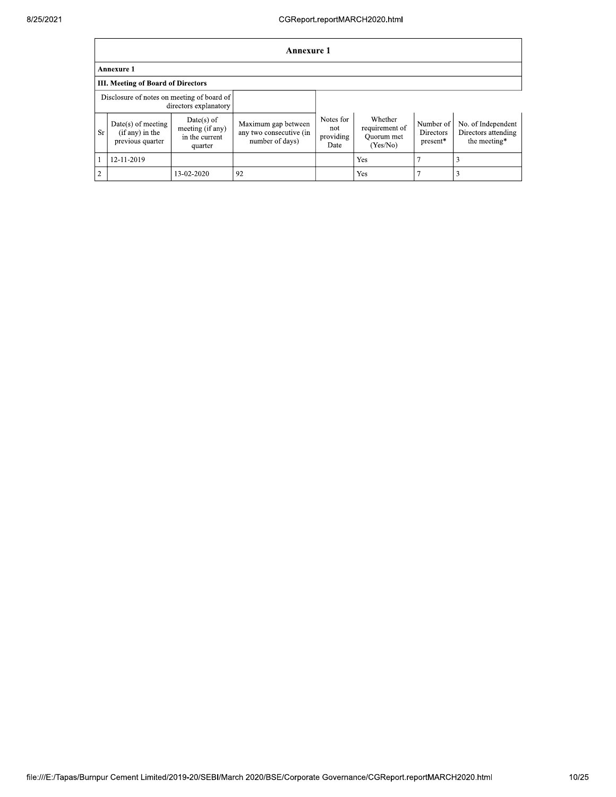|                | <b>Annexure 1</b>                                             |                                                               |                                                                   |                                       |                                                     |                                    |                                                           |  |  |  |  |  |
|----------------|---------------------------------------------------------------|---------------------------------------------------------------|-------------------------------------------------------------------|---------------------------------------|-----------------------------------------------------|------------------------------------|-----------------------------------------------------------|--|--|--|--|--|
| Annexure 1     |                                                               |                                                               |                                                                   |                                       |                                                     |                                    |                                                           |  |  |  |  |  |
|                | <b>III. Meeting of Board of Directors</b>                     |                                                               |                                                                   |                                       |                                                     |                                    |                                                           |  |  |  |  |  |
|                | Disclosure of notes on meeting of board of                    | directors explanatory                                         |                                                                   |                                       |                                                     |                                    |                                                           |  |  |  |  |  |
| Sr             | $Date(s)$ of meeting<br>$(if any)$ in the<br>previous quarter | $Date(s)$ of<br>meeting (if any)<br>in the current<br>quarter | Maximum gap between<br>any two consecutive (in<br>number of days) | Notes for<br>not<br>providing<br>Date | Whether<br>requirement of<br>Quorum met<br>(Yes/No) | Number of<br>Directors<br>present* | No. of Independent<br>Directors attending<br>the meeting* |  |  |  |  |  |
|                | 12-11-2019                                                    |                                                               |                                                                   |                                       | Yes                                                 |                                    |                                                           |  |  |  |  |  |
| $\overline{c}$ |                                                               | 13-02-2020                                                    | 92                                                                |                                       | Yes                                                 |                                    |                                                           |  |  |  |  |  |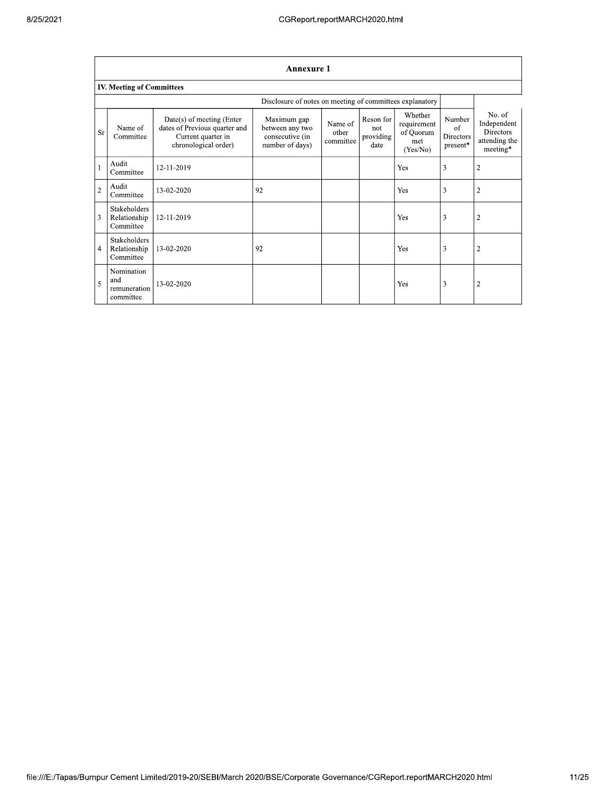|                | <b>Annexure 1</b>                                |                                                                                                            |                                                                      |                               |                                       |                                                        |                                                             |                                                                        |  |  |  |
|----------------|--------------------------------------------------|------------------------------------------------------------------------------------------------------------|----------------------------------------------------------------------|-------------------------------|---------------------------------------|--------------------------------------------------------|-------------------------------------------------------------|------------------------------------------------------------------------|--|--|--|
|                | <b>IV. Meeting of Committees</b>                 |                                                                                                            |                                                                      |                               |                                       |                                                        |                                                             |                                                                        |  |  |  |
|                |                                                  |                                                                                                            |                                                                      |                               |                                       |                                                        |                                                             |                                                                        |  |  |  |
| Sr             | Name of<br>Committee                             | $Date(s)$ of meeting (Enter<br>dates of Previous quarter and<br>Current quarter in<br>chronological order) | Maximum gap<br>between any two<br>consecutive (in<br>number of days) | Name of<br>other<br>committee | Reson for<br>not<br>providing<br>date | Whether<br>requirement<br>of Quorum<br>met<br>(Yes/No) | Number<br>of<br><b>Directors</b><br>$\, {\rm present}^* \,$ | No. of<br>Independent<br><b>Directors</b><br>attending the<br>meeting* |  |  |  |
| $\mathbf{1}$   | Audit<br>Committee                               | 12-11-2019                                                                                                 |                                                                      |                               |                                       | Yes                                                    | 3                                                           | $\overline{2}$                                                         |  |  |  |
| $\overline{2}$ | Audit<br>Committee                               | 13-02-2020                                                                                                 | 92                                                                   |                               |                                       | Yes                                                    | 3                                                           | $\overline{2}$                                                         |  |  |  |
| 3              | Stakeholders<br>Relationship<br>Committee        | 12-11-2019                                                                                                 |                                                                      |                               |                                       | Yes                                                    | 3                                                           | $\overline{2}$                                                         |  |  |  |
| $\overline{4}$ | <b>Stakeholders</b><br>Relationship<br>Committee | 13-02-2020                                                                                                 | 92                                                                   |                               |                                       | Yes                                                    | 3                                                           | $\overline{2}$                                                         |  |  |  |
| 5              | Nomination<br>and<br>remuneration<br>committee   | 13-02-2020                                                                                                 |                                                                      |                               |                                       | Yes                                                    | 3                                                           | $\overline{2}$                                                         |  |  |  |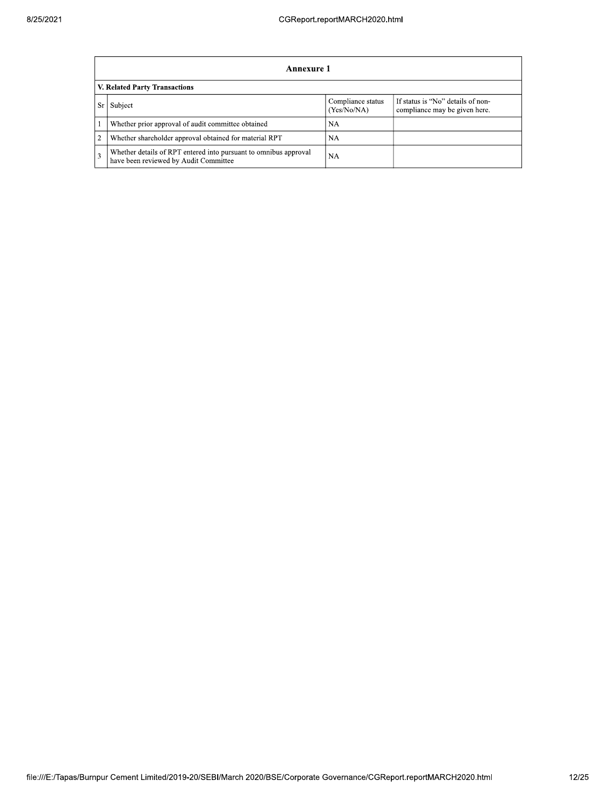|    | Annexure 1                                                                                                |                                  |                                                                    |  |  |  |
|----|-----------------------------------------------------------------------------------------------------------|----------------------------------|--------------------------------------------------------------------|--|--|--|
|    | V. Related Party Transactions                                                                             |                                  |                                                                    |  |  |  |
| Sr | Subject                                                                                                   | Compliance status<br>(Yes/No/NA) | If status is "No" details of non-<br>compliance may be given here. |  |  |  |
|    | Whether prior approval of audit committee obtained                                                        | NA.                              |                                                                    |  |  |  |
| 2  | Whether shareholder approval obtained for material RPT                                                    | NА                               |                                                                    |  |  |  |
| 3  | Whether details of RPT entered into pursuant to omnibus approval<br>have been reviewed by Audit Committee | <b>NA</b>                        |                                                                    |  |  |  |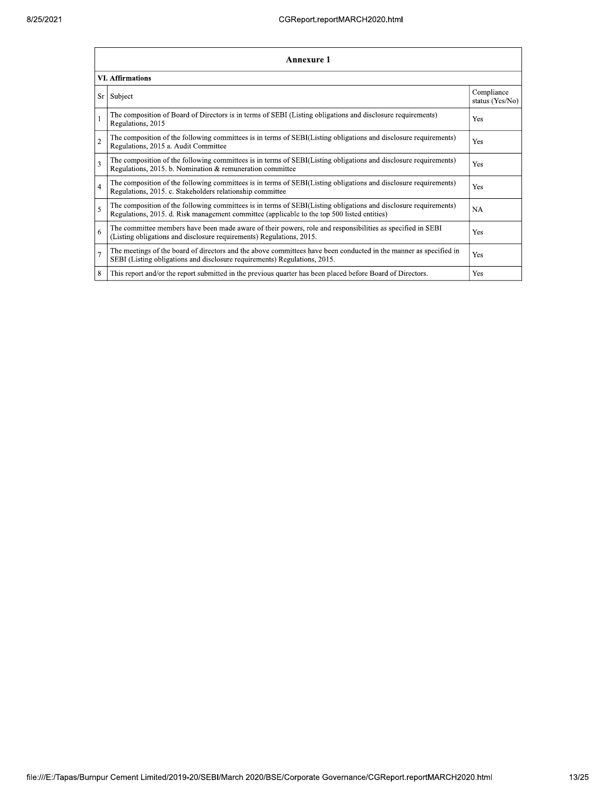|                | <b>Annexure 1</b>                                                                                                                                                                                               |                               |  |  |  |  |
|----------------|-----------------------------------------------------------------------------------------------------------------------------------------------------------------------------------------------------------------|-------------------------------|--|--|--|--|
|                | <b>VI. Affirmations</b>                                                                                                                                                                                         |                               |  |  |  |  |
| Sr             | Subject                                                                                                                                                                                                         | Compliance<br>status (Yes/No) |  |  |  |  |
|                | The composition of Board of Directors is in terms of SEBI (Listing obligations and disclosure requirements)<br>Regulations, 2015                                                                                | Yes                           |  |  |  |  |
| $\overline{c}$ | The composition of the following committees is in terms of SEBI(Listing obligations and disclosure requirements)<br>Regulations, 2015 a. Audit Committee                                                        | Yes                           |  |  |  |  |
| 3              | The composition of the following committees is in terms of SEBI(Listing obligations and disclosure requirements)<br>Regulations, 2015. b. Nomination & remuneration committee                                   | Yes                           |  |  |  |  |
| $\overline{4}$ | The composition of the following committees is in terms of SEBI(Listing obligations and disclosure requirements)<br>Regulations, 2015. c. Stakeholders relationship committee                                   | Yes                           |  |  |  |  |
| 5              | The composition of the following committees is in terms of SEBI(Listing obligations and disclosure requirements)<br>Regulations, 2015. d. Risk management committee (applicable to the top 500 listed entities) | NA                            |  |  |  |  |
| 6              | The committee members have been made aware of their powers, role and responsibilities as specified in SEBI<br>(Listing obligations and disclosure requirements) Regulations, 2015.                              | Yes                           |  |  |  |  |
| $\overline{7}$ | The meetings of the board of directors and the above committees have been conducted in the manner as specified in<br>SEBI (Listing obligations and disclosure requirements) Regulations, 2015.                  | Yes                           |  |  |  |  |
| 8              | This report and/or the report submitted in the previous quarter has been placed before Board of Directors.                                                                                                      | Yes                           |  |  |  |  |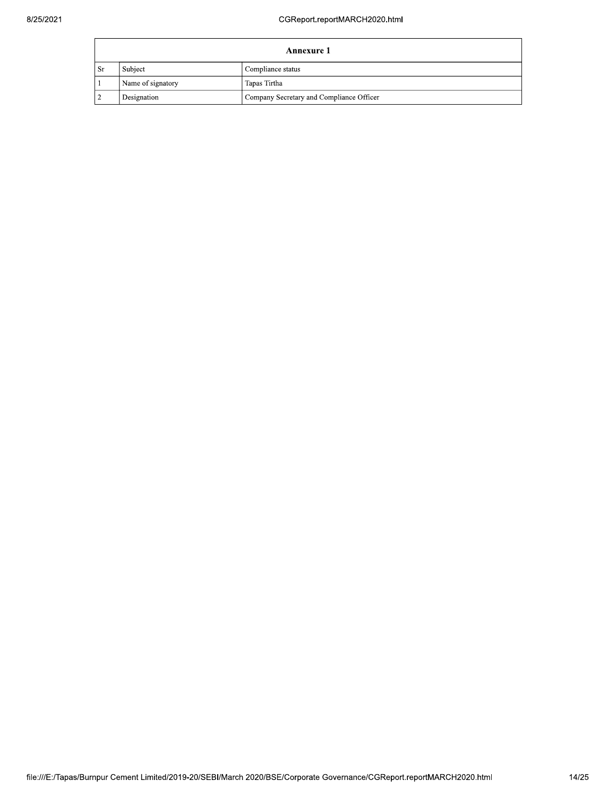|     | Annexure 1        |                                          |  |  |  |
|-----|-------------------|------------------------------------------|--|--|--|
| -Sr | Subject           | Compliance status                        |  |  |  |
|     | Name of signatory | Tapas Tirtha                             |  |  |  |
|     | Designation       | Company Secretary and Compliance Officer |  |  |  |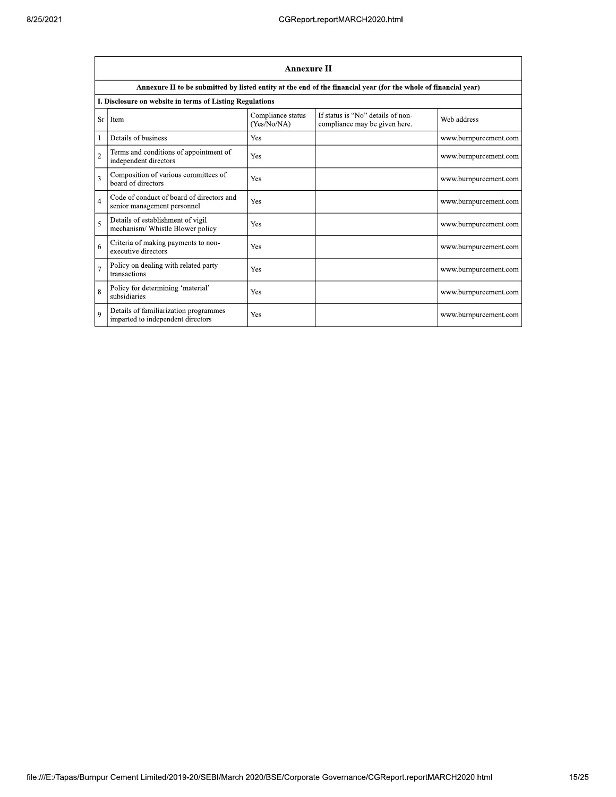|                | <b>Annexure II</b>                                                         |                                  |                                                                                                                 |                       |  |
|----------------|----------------------------------------------------------------------------|----------------------------------|-----------------------------------------------------------------------------------------------------------------|-----------------------|--|
|                |                                                                            |                                  | Annexure II to be submitted by listed entity at the end of the financial year (for the whole of financial year) |                       |  |
|                | I. Disclosure on website in terms of Listing Regulations                   |                                  |                                                                                                                 |                       |  |
| <b>Sr</b>      | Item                                                                       | Compliance status<br>(Yes/No/NA) | If status is "No" details of non-<br>compliance may be given here.                                              | Web address           |  |
| 1              | Details of business                                                        | Yes                              |                                                                                                                 | www.burnpurcement.com |  |
| $\overline{c}$ | Terms and conditions of appointment of<br>independent directors            | Yes                              |                                                                                                                 | www.burnpurcement.com |  |
| 3              | Composition of various committees of<br>board of directors                 | Yes                              |                                                                                                                 | www.burnpurcement.com |  |
| $\overline{4}$ | Code of conduct of board of directors and<br>senior management personnel   | Yes                              |                                                                                                                 | www.burnpurcement.com |  |
| 5              | Details of establishment of vigil<br>mechanism/ Whistle Blower policy      | Yes                              |                                                                                                                 | www.burnpurcement.com |  |
| 6              | Criteria of making payments to non-<br>executive directors                 | Yes                              |                                                                                                                 | www.burnpurcement.com |  |
| $\overline{7}$ | Policy on dealing with related party<br>transactions                       | Yes                              |                                                                                                                 | www.burnpurcement.com |  |
| 8              | Policy for determining 'material'<br>subsidiaries                          | Yes                              |                                                                                                                 | www.burnpurcement.com |  |
| $\overline{Q}$ | Details of familiarization programmes<br>imparted to independent directors | Yes                              |                                                                                                                 | www.burnpurcement.com |  |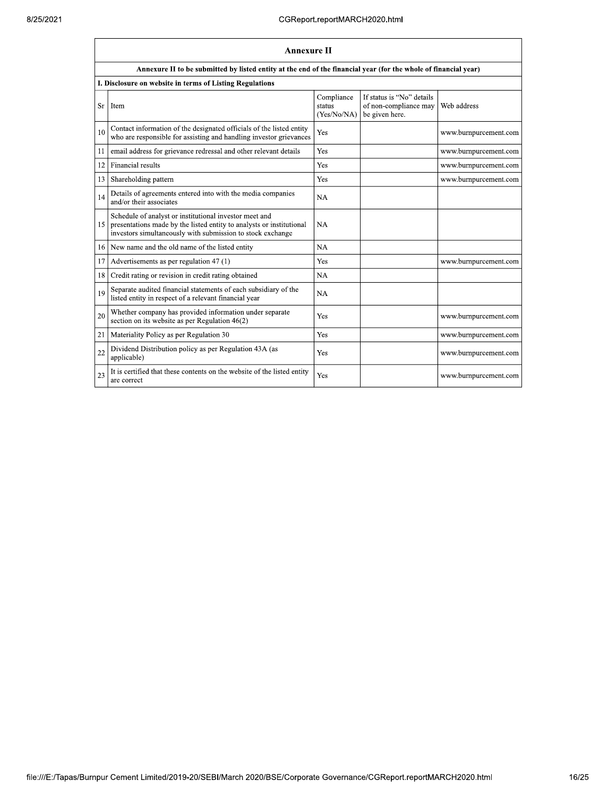|    | Annexure II                                                                                                                                                                                  |                                     |                                                                      |                       |  |
|----|----------------------------------------------------------------------------------------------------------------------------------------------------------------------------------------------|-------------------------------------|----------------------------------------------------------------------|-----------------------|--|
|    | Annexure II to be submitted by listed entity at the end of the financial year (for the whole of financial year)                                                                              |                                     |                                                                      |                       |  |
|    | I. Disclosure on website in terms of Listing Regulations                                                                                                                                     |                                     |                                                                      |                       |  |
| Sr | Item                                                                                                                                                                                         | Compliance<br>status<br>(Yes/No/NA) | If status is "No" details<br>of non-compliance may<br>be given here. | Web address           |  |
| 10 | Contact information of the designated officials of the listed entity<br>who are responsible for assisting and handling investor grievances                                                   | Yes                                 |                                                                      | www.burnpurcement.com |  |
| 11 | email address for grievance redressal and other relevant details                                                                                                                             | Yes                                 |                                                                      | www.burnpurcement.com |  |
| 12 | Financial results                                                                                                                                                                            | Yes                                 |                                                                      | www.burnpurcement.com |  |
| 13 | Shareholding pattern                                                                                                                                                                         | Yes                                 |                                                                      | www.burnpurcement.com |  |
| 14 | Details of agreements entered into with the media companies<br>and/or their associates                                                                                                       | <b>NA</b>                           |                                                                      |                       |  |
| 15 | Schedule of analyst or institutional investor meet and<br>presentations made by the listed entity to analysts or institutional<br>investors simultaneously with submission to stock exchange | <b>NA</b>                           |                                                                      |                       |  |
| 16 | New name and the old name of the listed entity                                                                                                                                               | NA                                  |                                                                      |                       |  |
| 17 | Advertisements as per regulation 47 (1)                                                                                                                                                      | Yes                                 |                                                                      | www.burnpurcement.com |  |
| 18 | Credit rating or revision in credit rating obtained                                                                                                                                          | NA                                  |                                                                      |                       |  |
| 19 | Separate audited financial statements of each subsidiary of the<br>listed entity in respect of a relevant financial year                                                                     | NA                                  |                                                                      |                       |  |
| 20 | Whether company has provided information under separate<br>section on its website as per Regulation $46(2)$                                                                                  | Yes                                 |                                                                      | www.burnpurcement.com |  |
| 21 | Materiality Policy as per Regulation 30                                                                                                                                                      | Yes                                 |                                                                      | www.burnpurcement.com |  |
| 22 | Dividend Distribution policy as per Regulation 43A (as<br>applicable)                                                                                                                        | Yes                                 |                                                                      | www.burnpurcement.com |  |
| 23 | It is certified that these contents on the website of the listed entity<br>are correct                                                                                                       | Yes                                 |                                                                      | www.burnpurcement.com |  |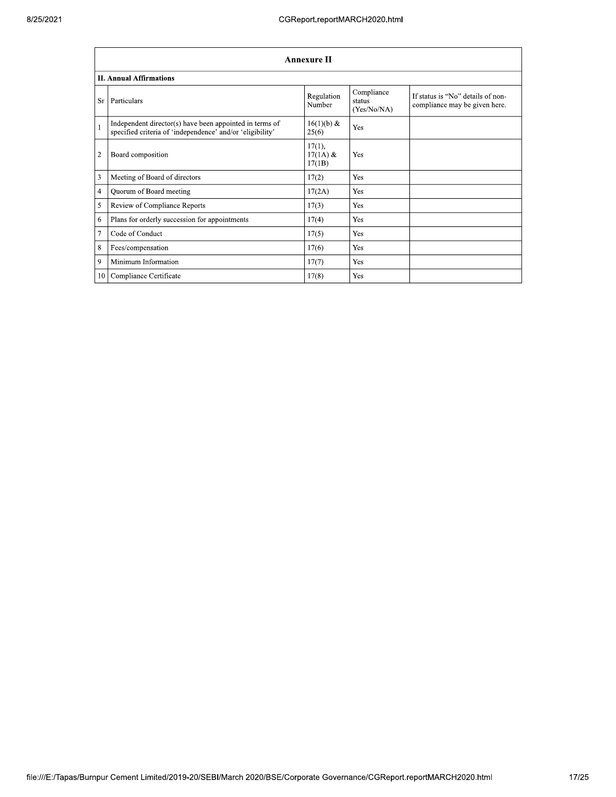|                 | <b>Annexure II</b>                                                                                                   |                                |                                     |                                                                    |  |
|-----------------|----------------------------------------------------------------------------------------------------------------------|--------------------------------|-------------------------------------|--------------------------------------------------------------------|--|
|                 | <b>II. Annual Affirmations</b>                                                                                       |                                |                                     |                                                                    |  |
| Sr              | Particulars                                                                                                          | Regulation<br>Number           | Compliance<br>status<br>(Yes/No/NA) | If status is "No" details of non-<br>compliance may be given here. |  |
| $\mathbf{1}$    | Independent director(s) have been appointed in terms of<br>specified criteria of 'independence' and/or 'eligibility' | 16(1)(b) &<br>25(6)            | Yes                                 |                                                                    |  |
| $\overline{2}$  | Board composition                                                                                                    | 17(1),<br>$17(1A)$ &<br>17(1B) | Yes                                 |                                                                    |  |
| 3               | Meeting of Board of directors                                                                                        | 17(2)                          | Yes                                 |                                                                    |  |
| 4               | Quorum of Board meeting                                                                                              | 17(2A)                         | Yes                                 |                                                                    |  |
| 5               | Review of Compliance Reports                                                                                         | 17(3)                          | Yes                                 |                                                                    |  |
| 6               | Plans for orderly succession for appointments                                                                        | 17(4)                          | Yes                                 |                                                                    |  |
| 7               | Code of Conduct                                                                                                      | 17(5)                          | Yes                                 |                                                                    |  |
| 8               | Fees/compensation                                                                                                    | 17(6)                          | Yes                                 |                                                                    |  |
| 9               | Minimum Information                                                                                                  | 17(7)                          | Yes                                 |                                                                    |  |
| 10 <sup>1</sup> | Compliance Certificate                                                                                               | 17(8)                          | Yes                                 |                                                                    |  |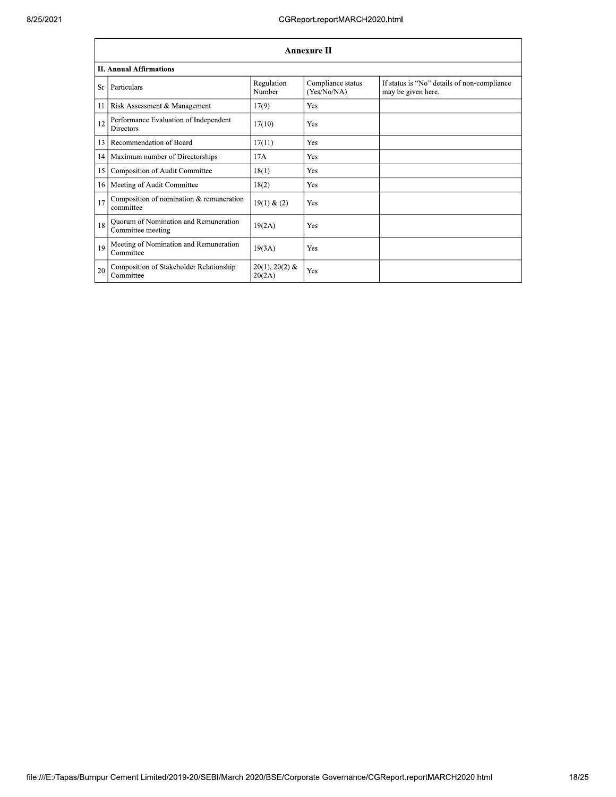|    | <b>Annexure II</b>                                         |                            |                                  |                                                                   |  |
|----|------------------------------------------------------------|----------------------------|----------------------------------|-------------------------------------------------------------------|--|
|    | <b>II. Annual Affirmations</b>                             |                            |                                  |                                                                   |  |
| Sr | Particulars                                                | Regulation<br>Number       | Compliance status<br>(Yes/No/NA) | If status is "No" details of non-compliance<br>may be given here. |  |
| 11 | Risk Assessment & Management                               | 17(9)                      | Yes                              |                                                                   |  |
| 12 | Performance Evaluation of Independent<br><b>Directors</b>  | 17(10)                     | Yes                              |                                                                   |  |
| 13 | Recommendation of Board                                    | 17(11)                     | Yes                              |                                                                   |  |
| 14 | Maximum number of Directorships                            | 17A                        | Yes                              |                                                                   |  |
| 15 | Composition of Audit Committee                             | 18(1)                      | Yes                              |                                                                   |  |
| 16 | Meeting of Audit Committee                                 | 18(2)                      | Yes                              |                                                                   |  |
| 17 | Composition of nomination & remuneration<br>committee      | 19(1) & (2)                | Yes                              |                                                                   |  |
| 18 | Quorum of Nomination and Remuneration<br>Committee meeting | 19(2A)                     | Yes                              |                                                                   |  |
| 19 | Meeting of Nomination and Remuneration<br>Committee        | 19(3A)                     | Yes                              |                                                                   |  |
| 20 | Composition of Stakeholder Relationship<br>Committee       | $20(1), 20(2)$ &<br>20(2A) | Yes                              |                                                                   |  |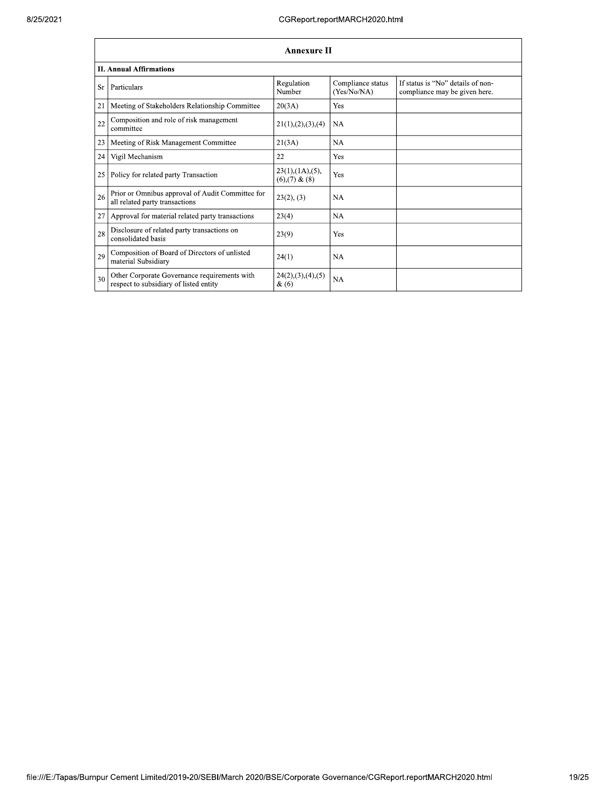|    | <b>Annexure II</b>                                                                     |                                                     |                                  |                                                                    |  |
|----|----------------------------------------------------------------------------------------|-----------------------------------------------------|----------------------------------|--------------------------------------------------------------------|--|
|    | <b>II. Annual Affirmations</b>                                                         |                                                     |                                  |                                                                    |  |
| Sr | Particulars                                                                            | Regulation<br>Number                                | Compliance status<br>(Yes/No/NA) | If status is "No" details of non-<br>compliance may be given here. |  |
| 21 | Meeting of Stakeholders Relationship Committee                                         | 20(3A)                                              | Yes                              |                                                                    |  |
| 22 | Composition and role of risk management<br>committee                                   | 21(1), (2), (3), (4)                                | NA                               |                                                                    |  |
| 23 | Meeting of Risk Management Committee                                                   | 21(3A)                                              | <b>NA</b>                        |                                                                    |  |
| 24 | Vigil Mechanism                                                                        | 22                                                  | Yes                              |                                                                    |  |
| 25 | Policy for related party Transaction                                                   | $23(1)$ , $(1A)$ , $(5)$ ,<br>$(6)$ , $(7)$ & $(8)$ | Yes                              |                                                                    |  |
| 26 | Prior or Omnibus approval of Audit Committee for<br>all related party transactions     | 23(2), (3)                                          | <b>NA</b>                        |                                                                    |  |
| 27 | Approval for material related party transactions                                       | 23(4)                                               | <b>NA</b>                        |                                                                    |  |
| 28 | Disclosure of related party transactions on<br>consolidated basis                      | 23(9)                                               | Yes                              |                                                                    |  |
| 29 | Composition of Board of Directors of unlisted<br>material Subsidiary                   | 24(1)                                               | <b>NA</b>                        |                                                                    |  |
| 30 | Other Corporate Governance requirements with<br>respect to subsidiary of listed entity | 24(2),(3),(4),(5)<br>$\&(6)$                        | <b>NA</b>                        |                                                                    |  |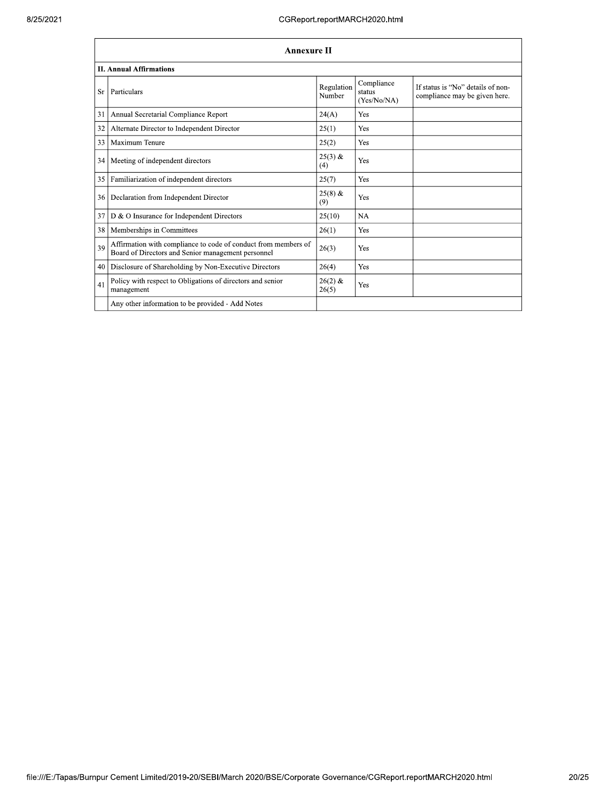|    | <b>Annexure II</b>                                                                                                   |                      |                                     |                                                                    |
|----|----------------------------------------------------------------------------------------------------------------------|----------------------|-------------------------------------|--------------------------------------------------------------------|
|    | <b>II. Annual Affirmations</b>                                                                                       |                      |                                     |                                                                    |
| Sr | Particulars                                                                                                          | Regulation<br>Number | Compliance<br>status<br>(Yes/No/NA) | If status is "No" details of non-<br>compliance may be given here. |
| 31 | Annual Secretarial Compliance Report                                                                                 | 24(A)                | Yes                                 |                                                                    |
| 32 | Alternate Director to Independent Director                                                                           | 25(1)                | Yes                                 |                                                                    |
| 33 | Maximum Tenure                                                                                                       | 25(2)                | Yes                                 |                                                                    |
| 34 | Meeting of independent directors                                                                                     | $25(3)$ &<br>(4)     | Yes                                 |                                                                    |
| 35 | Familiarization of independent directors                                                                             | 25(7)                | Yes                                 |                                                                    |
| 36 | Declaration from Independent Director                                                                                | $25(8)$ &<br>(9)     | Yes                                 |                                                                    |
| 37 | D & O Insurance for Independent Directors                                                                            | 25(10)               | <b>NA</b>                           |                                                                    |
| 38 | Memberships in Committees                                                                                            | 26(1)                | Yes                                 |                                                                    |
| 39 | Affirmation with compliance to code of conduct from members of<br>Board of Directors and Senior management personnel | 26(3)                | Yes                                 |                                                                    |
| 40 | Disclosure of Shareholding by Non-Executive Directors                                                                | 26(4)                | Yes                                 |                                                                    |
| 41 | Policy with respect to Obligations of directors and senior<br>management                                             | $26(2)$ &<br>26(5)   | Yes                                 |                                                                    |
|    | Any other information to be provided - Add Notes                                                                     |                      |                                     |                                                                    |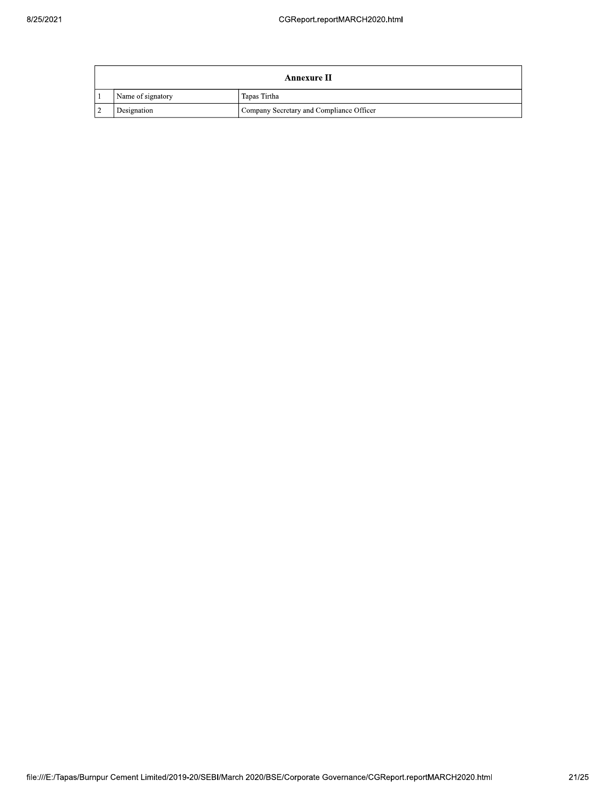|                | <b>Annexure II</b> |                                          |  |  |
|----------------|--------------------|------------------------------------------|--|--|
|                | Name of signatory  | Tapas Tirtha                             |  |  |
| $\overline{2}$ | Designation        | Company Secretary and Compliance Officer |  |  |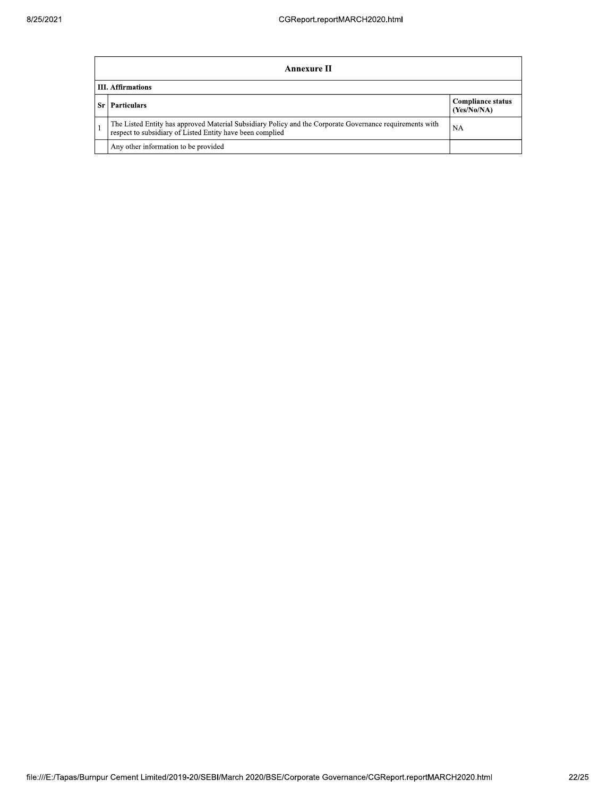|    | Annexure II                                                                                                                                                           |                                         |  |  |  |  |
|----|-----------------------------------------------------------------------------------------------------------------------------------------------------------------------|-----------------------------------------|--|--|--|--|
|    | <b>III.</b> Affirmations                                                                                                                                              |                                         |  |  |  |  |
| Sr | <b>Particulars</b>                                                                                                                                                    | <b>Compliance status</b><br>(Yes/No/NA) |  |  |  |  |
|    | The Listed Entity has approved Material Subsidiary Policy and the Corporate Governance requirements with<br>respect to subsidiary of Listed Entity have been complied | NA                                      |  |  |  |  |
|    | Any other information to be provided                                                                                                                                  |                                         |  |  |  |  |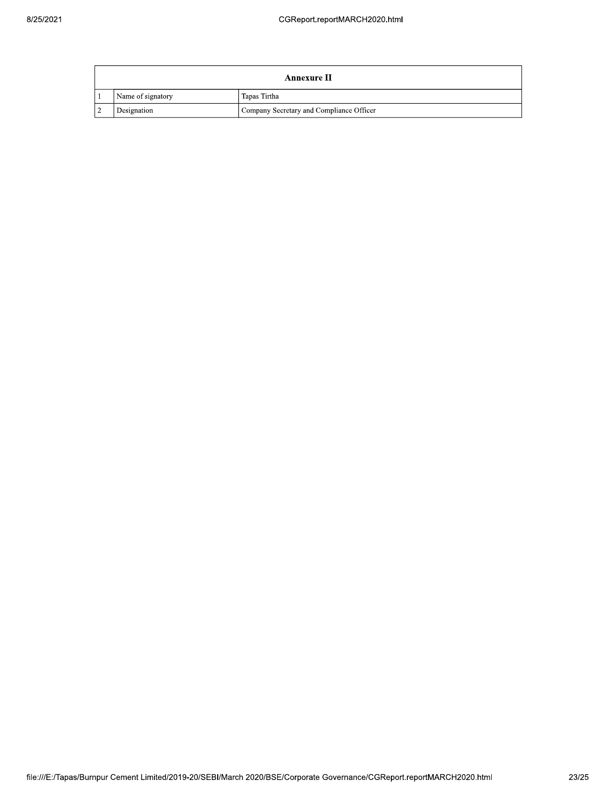|                | <b>Annexure II</b> |                                          |  |  |
|----------------|--------------------|------------------------------------------|--|--|
|                | Name of signatory  | Tapas Tirtha                             |  |  |
| $\overline{2}$ | Designation        | Company Secretary and Compliance Officer |  |  |